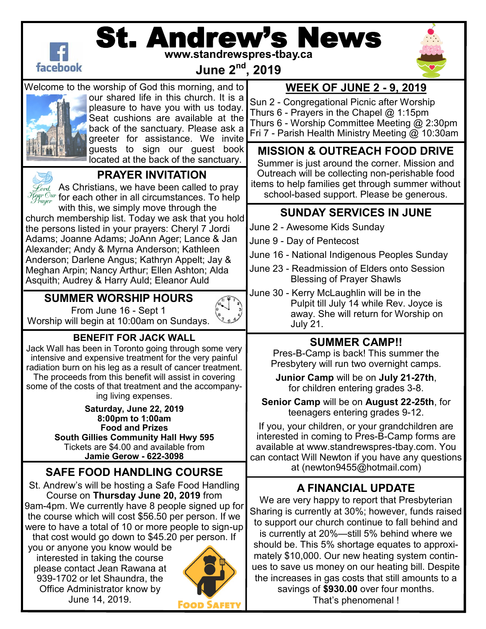